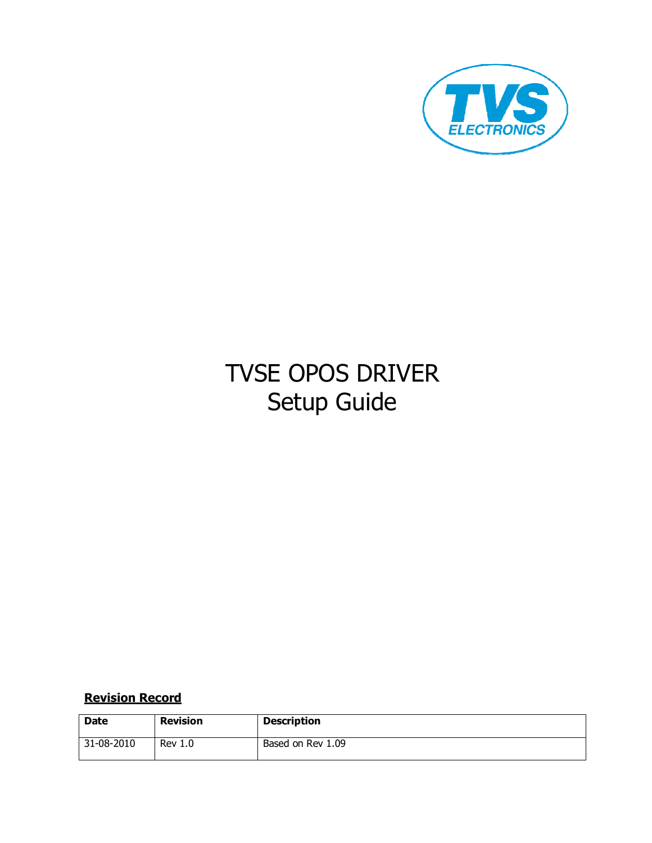

# TVSE OPOS DRIVER Setup Guide

## Revision Record

| <b>Date</b> | <b>Revision</b> | <b>Description</b> |
|-------------|-----------------|--------------------|
| 31-08-2010  | <b>Rev 1.0</b>  | Based on Rev 1.09  |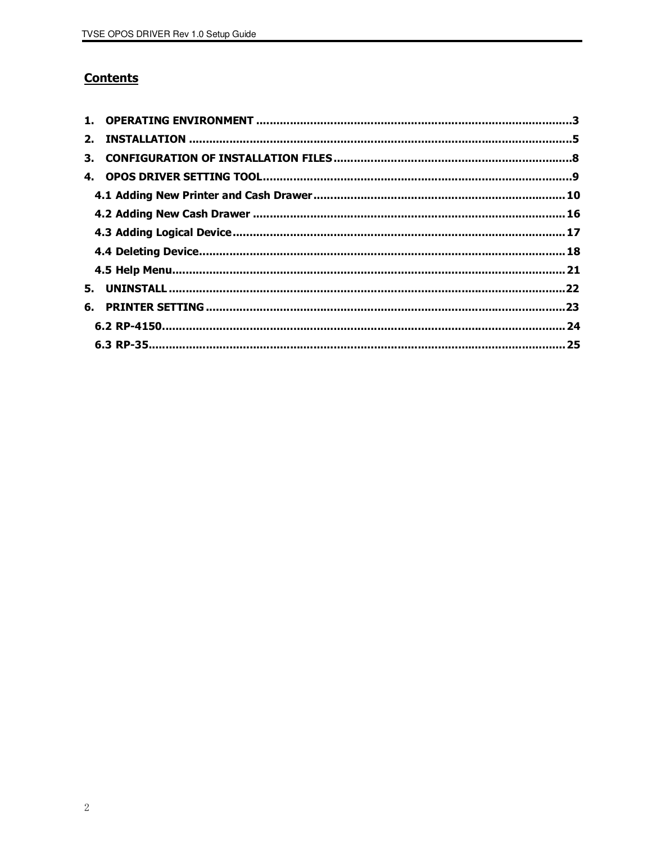## **Contents**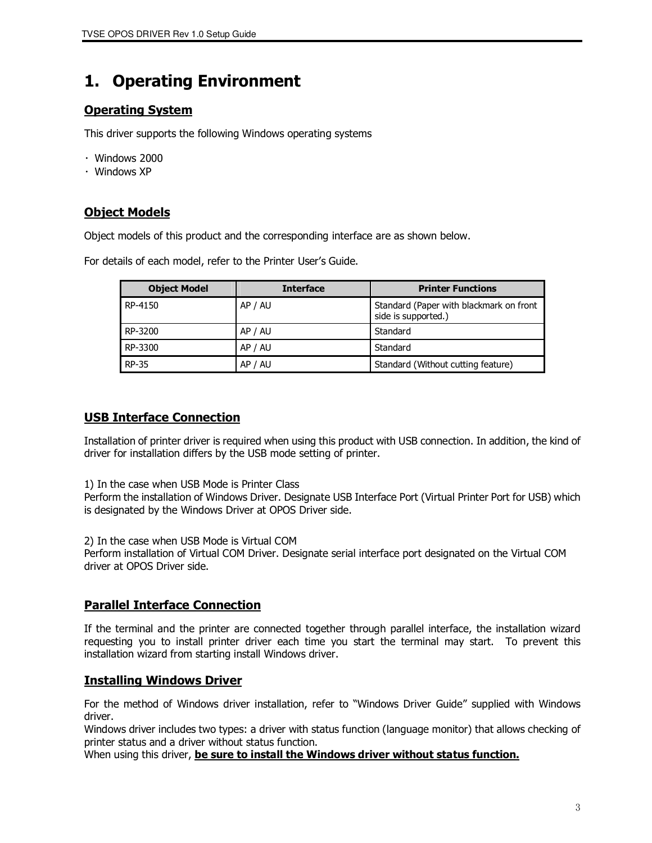## 1. Operating Environment

## Operating System

This driver supports the following Windows operating systems

- ・ Windows 2000
- ・ Windows XP

## Object Models

Object models of this product and the corresponding interface are as shown below.

For details of each model, refer to the Printer User's Guide.

| <b>Object Model</b> | <b>Interface</b> | <b>Printer Functions</b>                                       |  |
|---------------------|------------------|----------------------------------------------------------------|--|
| RP-4150             | AP / AU          | Standard (Paper with blackmark on front<br>side is supported.) |  |
| RP-3200             | AP / AU          | Standard                                                       |  |
| RP-3300             | AP / AU          | Standard                                                       |  |
| <b>RP-35</b>        | AP / AU          | Standard (Without cutting feature)                             |  |

### USB Interface Connection

Installation of printer driver is required when using this product with USB connection. In addition, the kind of driver for installation differs by the USB mode setting of printer.

1) In the case when USB Mode is Printer Class

Perform the installation of Windows Driver. Designate USB Interface Port (Virtual Printer Port for USB) which is designated by the Windows Driver at OPOS Driver side.

2) In the case when USB Mode is Virtual COM

Perform installation of Virtual COM Driver. Designate serial interface port designated on the Virtual COM driver at OPOS Driver side.

### Parallel Interface Connection

If the terminal and the printer are connected together through parallel interface, the installation wizard requesting you to install printer driver each time you start the terminal may start. To prevent this installation wizard from starting install Windows driver.

### Installing Windows Driver

For the method of Windows driver installation, refer to "Windows Driver Guide" supplied with Windows driver.

Windows driver includes two types: a driver with status function (language monitor) that allows checking of printer status and a driver without status function.

When using this driver, be sure to install the Windows driver without status function.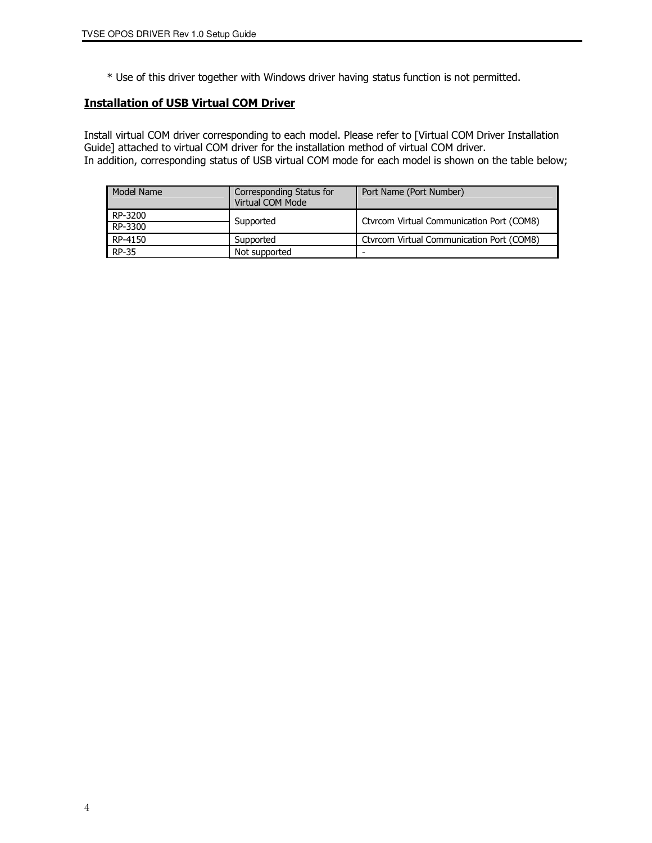\* Use of this driver together with Windows driver having status function is not permitted.

#### Installation of USB Virtual COM Driver

Install virtual COM driver corresponding to each model. Please refer to [Virtual COM Driver Installation Guide] attached to virtual COM driver for the installation method of virtual COM driver. In addition, corresponding status of USB virtual COM mode for each model is shown on the table below;

| Model Name | Corresponding Status for<br>Virtual COM Mode | Port Name (Port Number)                   |
|------------|----------------------------------------------|-------------------------------------------|
| RP-3200    | Supported                                    | Ctyrcom Virtual Communication Port (COM8) |
| RP-3300    |                                              |                                           |
| RP-4150    | Supported                                    | Ctyrcom Virtual Communication Port (COM8) |
| RP-35      | Not supported                                |                                           |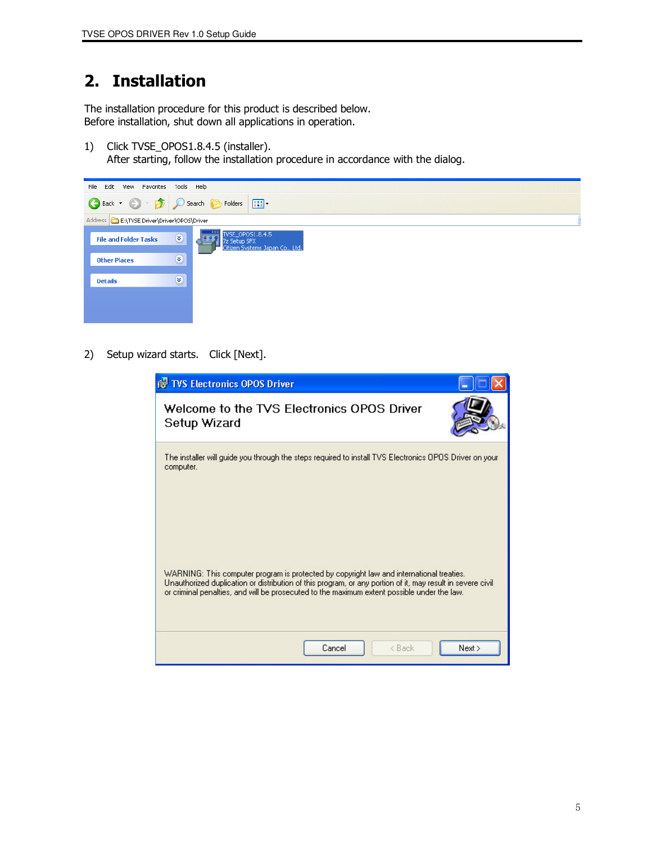## 2. Installation

The installation procedure for this product is described below. Before installation, shut down all applications in operation.

1) Click TVSE\_OPOS1.8.4.5 (installer).

After starting, follow the installation procedure in accordance with the dialog.

| Edit View Favorites Tools Help<br>File             |                                                                     |
|----------------------------------------------------|---------------------------------------------------------------------|
| Back + O + B O Search B Folders   111              |                                                                     |
| Address <b>C</b> E:\TVSE Driver\Driver\OPOS\Driver |                                                                     |
| $\bullet$<br><b>File and Folder Tasks</b>          | TVSE_OPOS1.8.4.5<br>7z Setup SFX<br>Citizen Systems Japan Co., Ltd. |
| $\bullet$<br><b>Other Places</b>                   |                                                                     |
| $\bullet$<br><b>Details</b>                        |                                                                     |
|                                                    |                                                                     |
|                                                    |                                                                     |

2) Setup wizard starts. Click [Next].

| <b>is TVS Electronics OPOS Driver</b>                                                                                                                                                                                                                                                                 |        |
|-------------------------------------------------------------------------------------------------------------------------------------------------------------------------------------------------------------------------------------------------------------------------------------------------------|--------|
| Welcome to the TVS Electronics OPOS Driver<br>Setup Wizard                                                                                                                                                                                                                                            |        |
| The installer will quide you through the steps required to install TVS Electronics OPOS Driver on your<br>computer.                                                                                                                                                                                   |        |
| WARNING: This computer program is protected by copyright law and international treaties.<br>Unauthorized duplication or distribution of this program, or any portion of it, may result in severe civil<br>or criminal penalties, and will be prosecuted to the maximum extent possible under the law. |        |
| < Back<br>Cancel                                                                                                                                                                                                                                                                                      | Next > |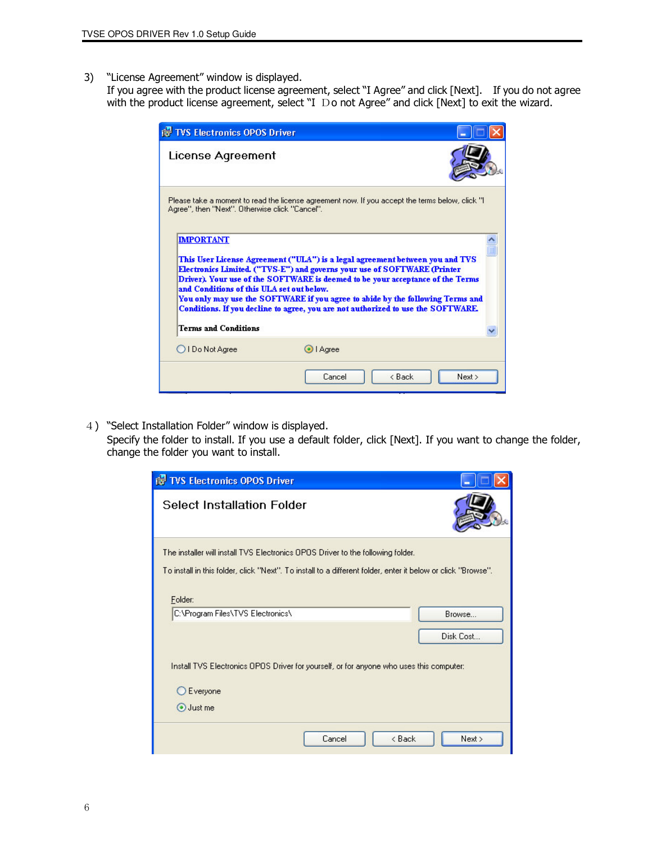3) "License Agreement" window is displayed.

 If you agree with the product license agreement, select "I Agree" and click [Next]. If you do not agree with the product license agreement, select "I Do not Agree" and click [Next] to exit the wizard.

| <b>TVS Electronics OPOS Driver</b>                                                                                                        |           |                                                                                                                                                                                                                                                                                                                                      |
|-------------------------------------------------------------------------------------------------------------------------------------------|-----------|--------------------------------------------------------------------------------------------------------------------------------------------------------------------------------------------------------------------------------------------------------------------------------------------------------------------------------------|
| License Agreement                                                                                                                         |           |                                                                                                                                                                                                                                                                                                                                      |
| Agree", then "Next". Otherwise click "Cancel".                                                                                            |           | Please take a moment to read the license agreement now. If you accept the terms below, click "I                                                                                                                                                                                                                                      |
| <b>IMPORTANT</b><br>Electronics Limited. ("TVS-E") and governs your use of SOFTWARE (Printer<br>and Conditions of this ULA set out below. |           | This User License Agreement ("ULA") is a legal agreement between you and TVS<br>Driver). Your use of the SOFTWARE is deemed to be your acceptance of the Terms<br>You only may use the SOFTWARE if you agree to abide by the following Terms and<br>Conditions. If you decline to agree, you are not authorized to use the SOFTWARE. |
| <b>Terms and Conditions</b>                                                                                                               |           |                                                                                                                                                                                                                                                                                                                                      |
| OIDo Not Agree                                                                                                                            | O   Agree |                                                                                                                                                                                                                                                                                                                                      |
|                                                                                                                                           | Cancel    | $<$ Back<br>Next >                                                                                                                                                                                                                                                                                                                   |

4) "Select Installation Folder" window is displayed.

 Specify the folder to install. If you use a default folder, click [Next]. If you want to change the folder, change the folder you want to install.

| TVS Electronics OPOS Driver                                                                                             |           |
|-------------------------------------------------------------------------------------------------------------------------|-----------|
| <b>Select Installation Folder</b>                                                                                       |           |
| The installer will install TVS Electronics OPOS Driver to the following folder.                                         |           |
| To install in this folder, click "Next". To install to a different folder, enter it below or click "Browse".<br>Folder: |           |
| C:\Program Files\TVS Electronics\                                                                                       | Browse    |
|                                                                                                                         | Disk Cost |
| Install TVS Electronics OPOS Driver for yourself, or for anyone who uses this computer:                                 |           |
| ○ Everyone                                                                                                              |           |
| Just me                                                                                                                 |           |
| Cancel<br>< Back                                                                                                        | Next >    |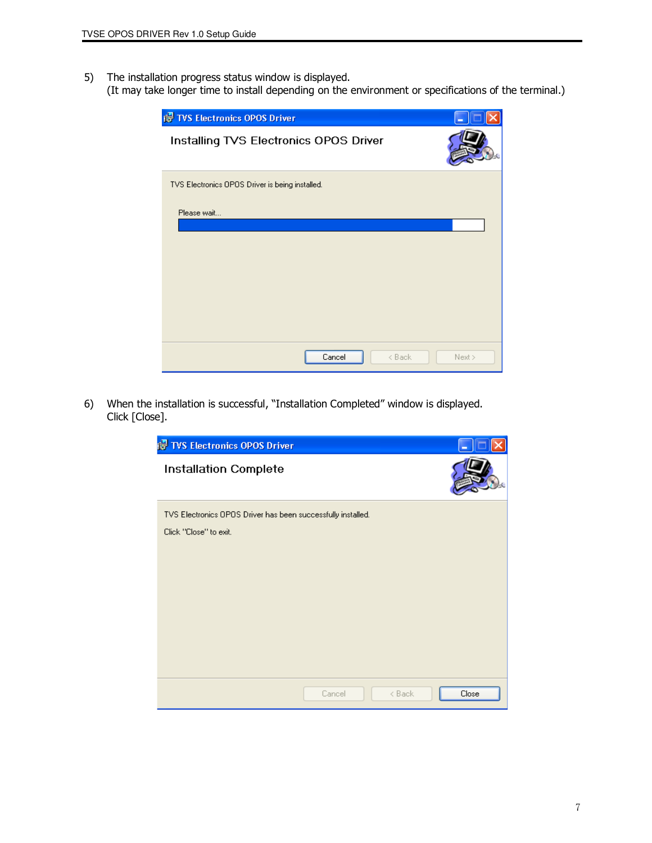- 5) The installation progress status window is displayed.
- (It may take longer time to install depending on the environment or specifications of the terminal.)

| <b>IS TVS Electronics OPOS Driver</b>           |        |
|-------------------------------------------------|--------|
| Installing TVS Electronics OPOS Driver          |        |
| TVS Electronics OPOS Driver is being installed. |        |
| Please wait                                     |        |
| Cancel<br>$<$ Back                              | Next > |

6) When the installation is successful, "Installation Completed" window is displayed. Click [Close].

| <b>For TVS Electronics OPOS Driver</b>                       |        |        |       |
|--------------------------------------------------------------|--------|--------|-------|
| Installation Complete                                        |        |        |       |
| TVS Electronics OPOS Driver has been successfully installed. |        |        |       |
| Click "Close" to exit.                                       |        |        |       |
|                                                              |        |        |       |
|                                                              |        |        |       |
|                                                              |        |        |       |
|                                                              |        |        |       |
|                                                              |        |        |       |
|                                                              |        |        |       |
|                                                              |        |        |       |
|                                                              | Cancel | < Back | Close |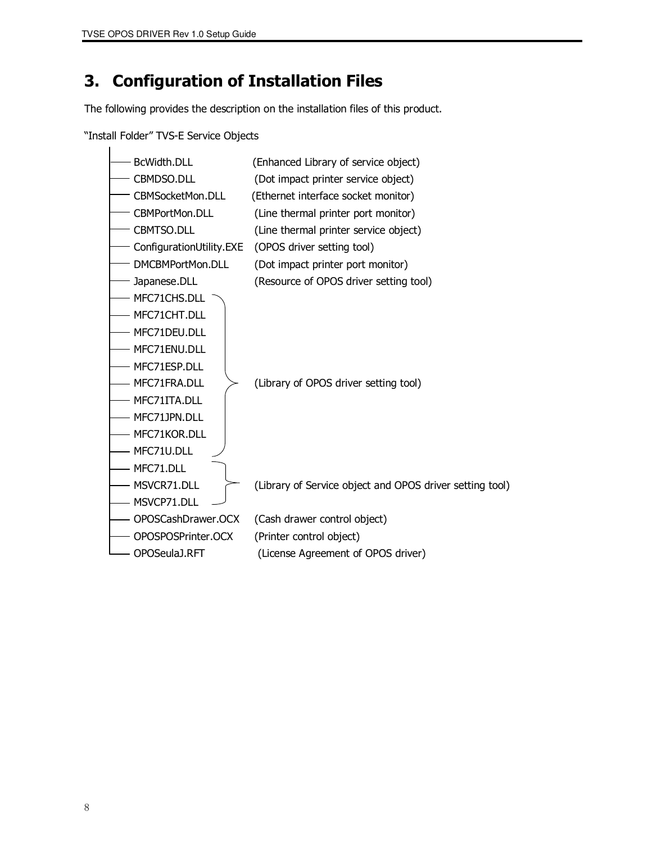## 3. Configuration of Installation Files

The following provides the description on the installation files of this product.

"Install Folder" TVS-E Service Objects

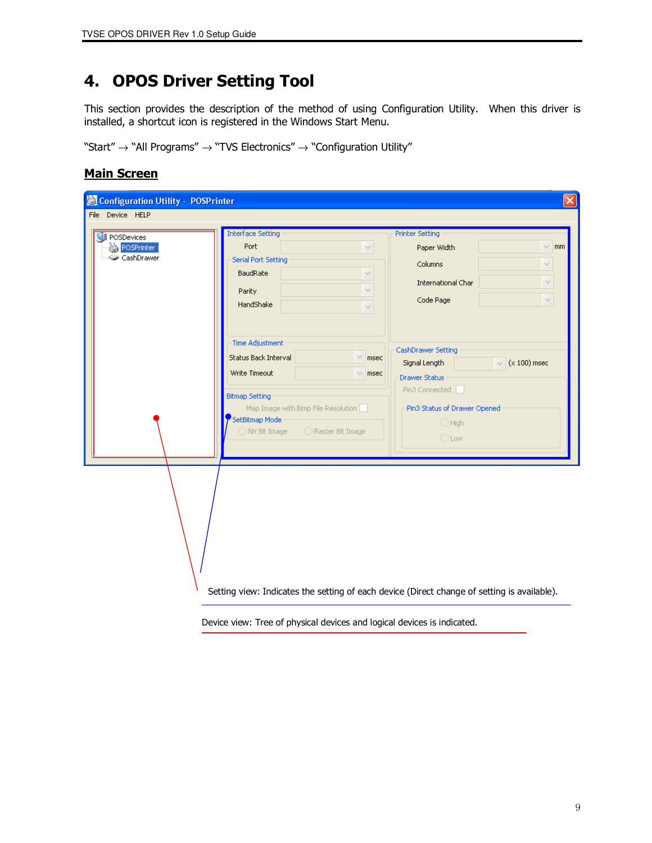## 4. OPOS Driver Setting Tool

This section provides the description of the method of using Configuration Utility. When this driver is installed, a shortcut icon is registered in the Windows Start Menu.

"Start"  $\rightarrow$  "All Programs"  $\rightarrow$  "TVS Electronics"  $\rightarrow$  "Configuration Utility"

#### **Main Screen**

| Configuration Utility - POSPrinter        |                                                                                                                                                                                                                                                                                                                                                                               |                                                                                                                                                                                                                                           | $ \mathsf{x} $                                                              |
|-------------------------------------------|-------------------------------------------------------------------------------------------------------------------------------------------------------------------------------------------------------------------------------------------------------------------------------------------------------------------------------------------------------------------------------|-------------------------------------------------------------------------------------------------------------------------------------------------------------------------------------------------------------------------------------------|-----------------------------------------------------------------------------|
| File Device HELP                          |                                                                                                                                                                                                                                                                                                                                                                               |                                                                                                                                                                                                                                           |                                                                             |
| POSDevices<br>POSPrinter<br>48 CashDrawer | <b>Interface Setting</b><br>Port<br>$\checkmark$<br>Serial Port Setting<br>BaudRate<br>$\vee$<br>$\checkmark$<br>Parity<br>HandShake<br>$\checkmark$<br>Time Adjustment<br>Status Back Interval<br>$\vee$<br>msec<br>Write Timeout<br>$\times$ msec<br><b>Bitmap Setting</b><br>Map Image with Bimp File Resolution<br>SetBitmap Mode<br>◯ NV Bit Image<br>◯ Raster Bit Image | <b>Printer Setting</b><br>Paper Width<br>Columns<br>International Char<br>Code Page<br>CashDrawer Setting<br>Signal Length<br><b>Drawer Status</b><br>Pin3 Connected<br>Pin3 Status of Drawer Opened<br>$\bigcirc$ High<br>$\bigcirc$ Low | $\times$ mm<br>$\lor$<br>$\lor$<br>$\lor$<br>$(x 100)$ msec<br>$\checkmark$ |
|                                           | Setting view: Indicates the setting of each device (Direct change of setting is available).                                                                                                                                                                                                                                                                                   |                                                                                                                                                                                                                                           |                                                                             |

Device view: Tree of physical devices and logical devices is indicated.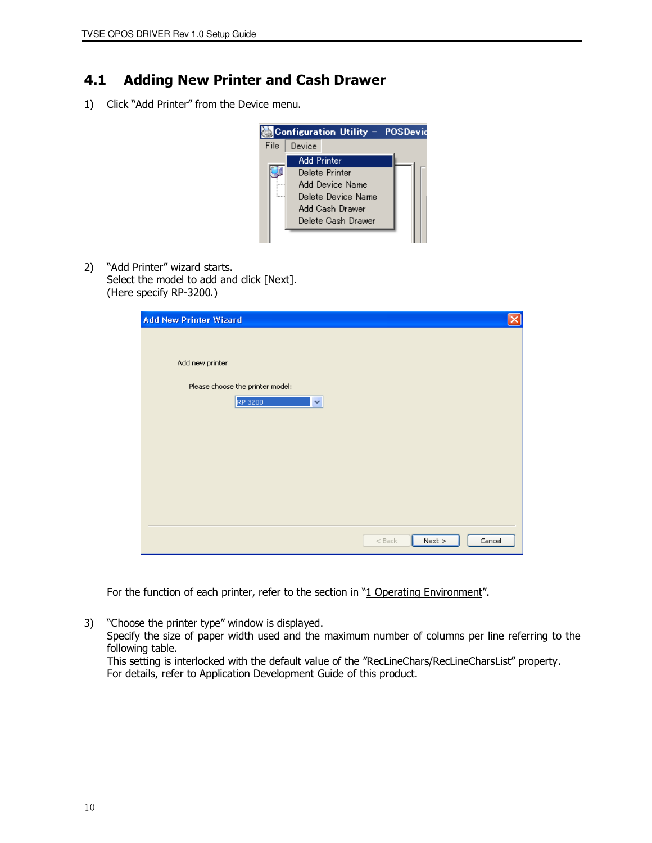## 4.1 Adding New Printer and Cash Drawer

1) Click "Add Printer" from the Device menu.



2) "Add Printer" wizard starts. Select the model to add and click [Next]. (Here specify RP-3200.)

| <b>Add New Printer Wizard</b>    |  |
|----------------------------------|--|
|                                  |  |
| Add new printer                  |  |
| Please choose the printer model: |  |
| RP 3200<br>×                     |  |
|                                  |  |
|                                  |  |
|                                  |  |
|                                  |  |
|                                  |  |
| $<$ Back<br>Next<br>Cancel       |  |

For the function of each printer, refer to the section in "1 Operating Environment".

3) "Choose the printer type" window is displayed. Specify the size of paper width used and the maximum number of columns per line referring to the following table. This setting is interlocked with the default value of the "RecLineChars/RecLineCharsList" property.

For details, refer to Application Development Guide of this product.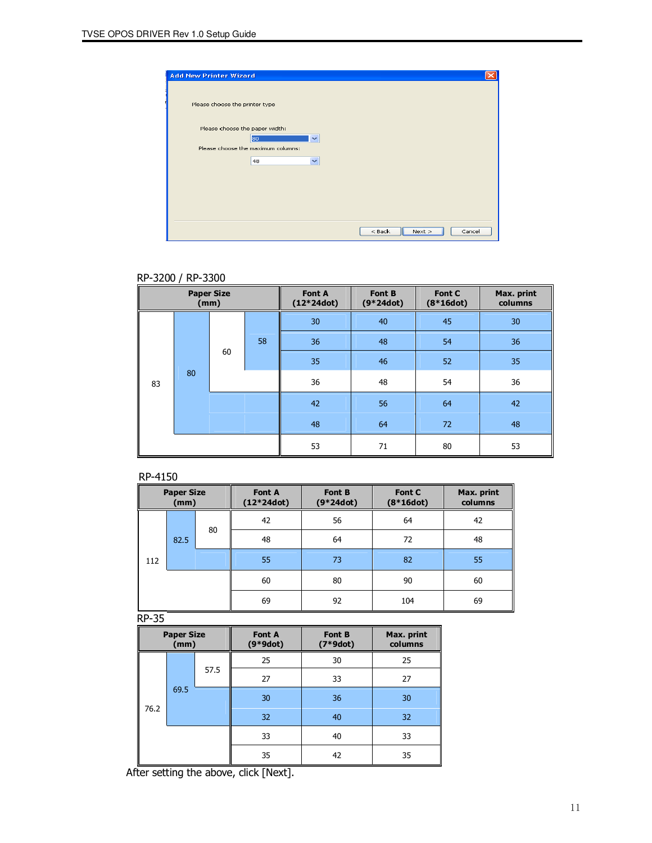| <b>Add New Printer Wizard</b>                        |                            |
|------------------------------------------------------|----------------------------|
| Please choose the printer type                       |                            |
| Please choose the paper width:<br>80<br>$\checkmark$ |                            |
| Please choose the maximum columns:<br>$\checkmark$   |                            |
| 48                                                   |                            |
|                                                      |                            |
|                                                      |                            |
|                                                      | $<$ Back<br>Next<br>Cancel |

#### RP-3200 / RP-3300

| <b>Paper Size</b><br>(mm) |    | Font A<br>$(12*24dot)$ | Font B<br>$(9 * 24dot)$ | Font C<br>$(8*16dot)$ | Max. print<br>columns |    |    |
|---------------------------|----|------------------------|-------------------------|-----------------------|-----------------------|----|----|
|                           |    |                        |                         | 30                    | 40                    | 45 | 30 |
|                           |    |                        | 58                      | 36                    | 48                    | 54 | 36 |
| 83                        | 80 | 60                     |                         | 35                    | 46                    | 52 | 35 |
|                           |    |                        |                         | 36                    | 48                    | 54 | 36 |
|                           |    |                        |                         | 42                    | 56                    | 64 | 42 |
|                           |    |                        |                         | 48                    | 64                    | 72 | 48 |
|                           |    |                        |                         | 53                    | 71                    | 80 | 53 |

#### RP-4150

| <b>Paper Size</b><br>(mm) |      | <b>Font A</b><br>$(12*24dot)$ | Font B<br>$(9*24dot)$ | Font C<br>$(8*16dot)$ | Max. print<br>columns |    |
|---------------------------|------|-------------------------------|-----------------------|-----------------------|-----------------------|----|
|                           |      |                               | 42                    | 56                    | 64                    | 42 |
|                           | 82.5 | 80                            | 48                    | 64                    | 72                    | 48 |
| 112                       |      |                               | 55                    | 73                    | 82                    | 55 |
|                           |      |                               | 60                    | 80                    | 90                    | 60 |
|                           |      | 69                            | 92                    | 104                   | 69                    |    |

RP-35

| <b>Paper Size</b><br>(mm) |  | <b>Font A</b><br>$(9*9dot)$ | Font B<br>$(7*9dot)$ | Max. print<br>columns |    |    |
|---------------------------|--|-----------------------------|----------------------|-----------------------|----|----|
|                           |  |                             | 25                   | 30                    | 25 |    |
|                           |  |                             | 57.5                 | 27                    | 33 | 27 |
| 69.5                      |  |                             | 30                   | 36                    | 30 |    |
| 76.2                      |  |                             | 32                   | 40                    | 32 |    |
|                           |  |                             | 33                   | 40                    | 33 |    |
|                           |  | 35                          | 42                   | 35                    |    |    |

After setting the above, click [Next].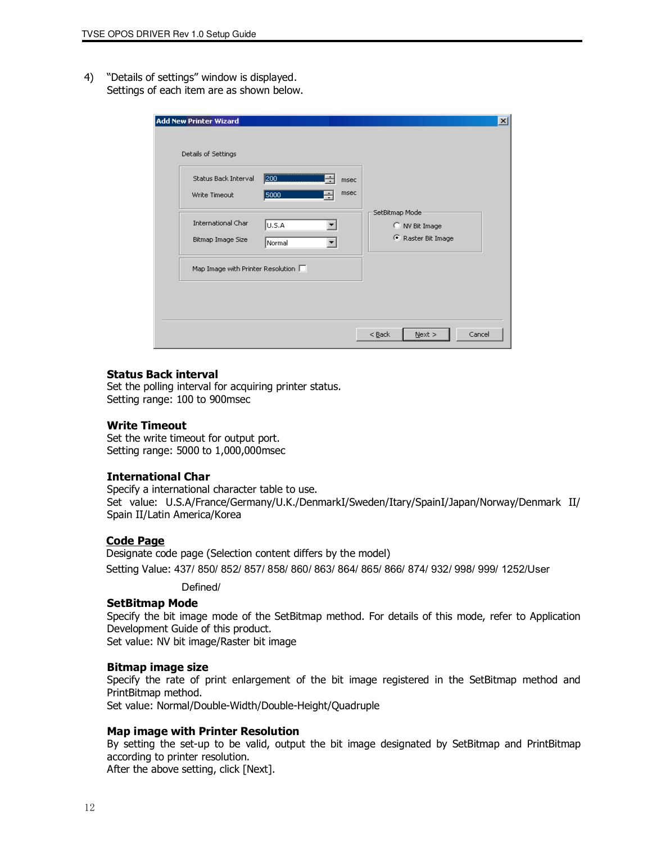4) "Details of settings" window is displayed. Settings of each item are as shown below.

| Status Back Interval<br>Write Timeout    | 200<br>msec<br>msec<br>5000<br>÷ |                    |
|------------------------------------------|----------------------------------|--------------------|
|                                          |                                  | SetBitmap Mode     |
| International Char                       | U.S.A                            | C NV Bit Image     |
| Bitmap Image Size                        | Normal                           | C Raster Bit Image |
| Map Image with Printer Resolution $\Box$ |                                  |                    |

#### Status Back interval

 Set the polling interval for acquiring printer status. Setting range: 100 to 900msec

#### Write Timeout

 Set the write timeout for output port. Setting range: 5000 to 1,000,000msec

#### International Char

 Specify a international character table to use. Set value: U.S.A/France/Germany/U.K./DenmarkI/Sweden/Itary/SpainI/Japan/Norway/Denmark II/ Spain II/Latin America/Korea

#### Code Page

Designate code page (Selection content differs by the model) Setting Value: 437/ 850/ 852/ 857/ 858/ 860/ 863/ 864/ 865/ 866/ 874/ 932/ 998/ 999/ 1252/User

Defined/

#### SetBitmap Mode

 Specify the bit image mode of the SetBitmap method. For details of this mode, refer to Application Development Guide of this product.

Set value: NV bit image/Raster bit image

#### Bitmap image size

 Specify the rate of print enlargement of the bit image registered in the SetBitmap method and PrintBitmap method.

Set value: Normal/Double-Width/Double-Height/Quadruple

#### Map image with Printer Resolution

 By setting the set-up to be valid, output the bit image designated by SetBitmap and PrintBitmap according to printer resolution.

After the above setting, click [Next].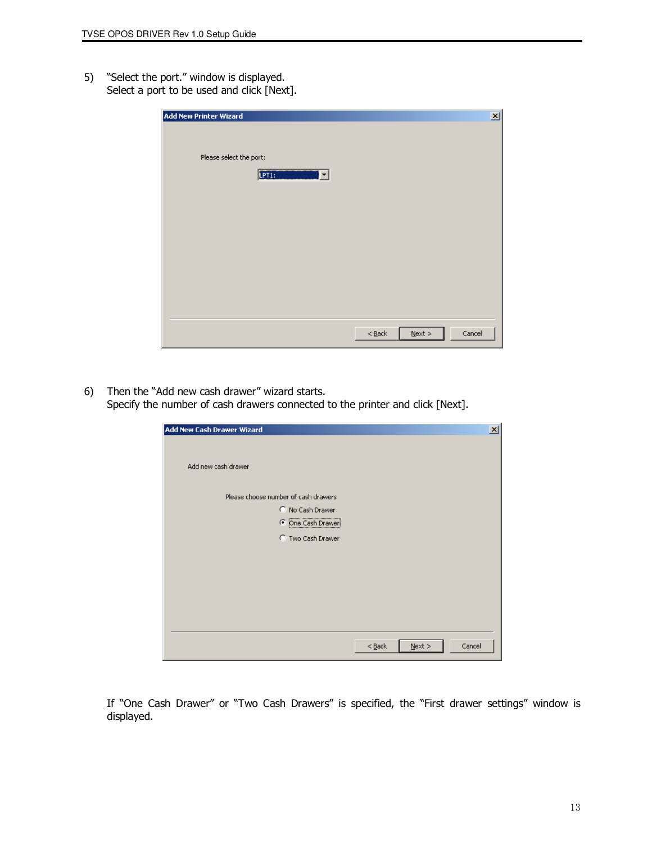5) "Select the port." window is displayed. Select a port to be used and click [Next].

| <b>Add New Printer Wizard</b>             | $\vert x \vert$                                            |
|-------------------------------------------|------------------------------------------------------------|
| Please select the port:<br>LPT1:<br><br>▾ |                                                            |
|                                           |                                                            |
|                                           |                                                            |
|                                           | $<$ <u>B</u> ack<br>$\underline{\sf{N}}$ ext $>$<br>Cancel |

6) Then the "Add new cash drawer" wizard starts. Specify the number of cash drawers connected to the printer and click [Next].

| <b>Add New Cash Drawer Wizard</b>     |          |           | $\vert x \vert$ |
|---------------------------------------|----------|-----------|-----------------|
| Add new cash drawer                   |          |           |                 |
| Please choose number of cash drawers  |          |           |                 |
| C No Cash Drawer<br>C One Cash Drawer |          |           |                 |
| C Two Cash Drawer                     |          |           |                 |
|                                       |          |           |                 |
|                                       |          |           |                 |
|                                       |          |           |                 |
|                                       |          |           |                 |
|                                       | $<$ Back | $N$ ext > | Cancel          |

 If "One Cash Drawer" or "Two Cash Drawers" is specified, the "First drawer settings" window is displayed.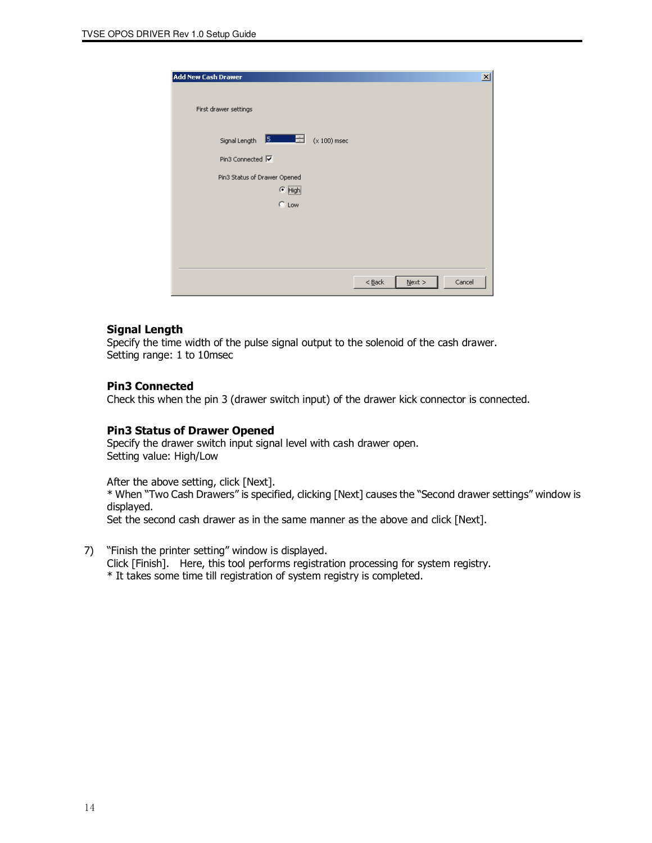| <b>Add New Cash Drawer</b>             | $\vert x \vert$                 |
|----------------------------------------|---------------------------------|
| First drawer settings                  |                                 |
| Signal Length 5 1999<br>$(x 100)$ msec |                                 |
| Pin3 Connected √                       |                                 |
| Pin3 Status of Drawer Opened           |                                 |
| $\bullet$ High                         |                                 |
| C Low                                  |                                 |
|                                        |                                 |
|                                        |                                 |
|                                        |                                 |
|                                        |                                 |
|                                        | Cancel<br>$<$ Back<br>$N$ ext > |

#### Signal Length

 Specify the time width of the pulse signal output to the solenoid of the cash drawer. Setting range: 1 to 10msec

#### Pin3 Connected

Check this when the pin 3 (drawer switch input) of the drawer kick connector is connected.

#### Pin3 Status of Drawer Opened

 Specify the drawer switch input signal level with cash drawer open. Setting value: High/Low

After the above setting, click [Next].

 \* When "Two Cash Drawers" is specified, clicking [Next] causes the "Second drawer settings" window is displayed.

Set the second cash drawer as in the same manner as the above and click [Next].

7) "Finish the printer setting" window is displayed.

 Click [Finish]. Here, this tool performs registration processing for system registry. \* It takes some time till registration of system registry is completed.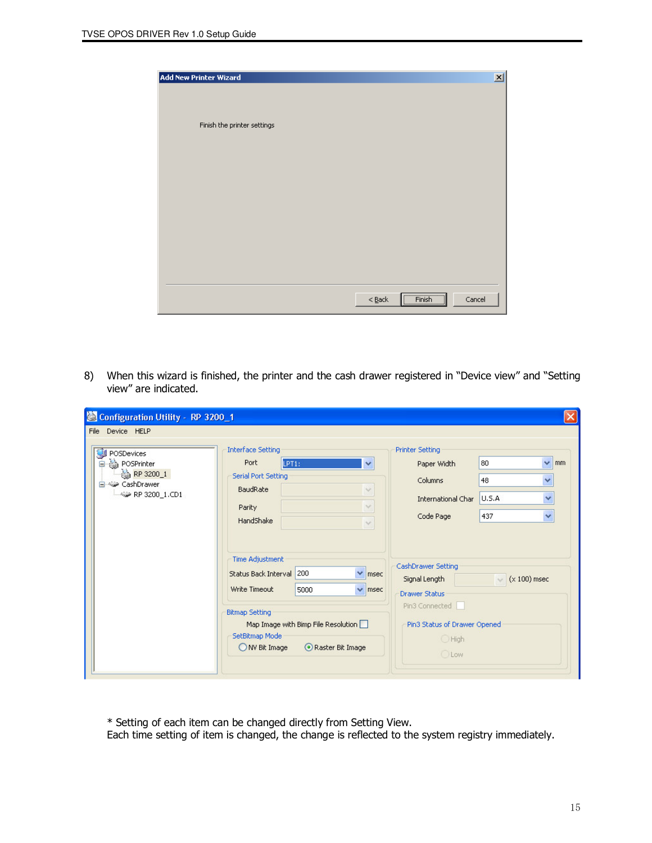| <b>Add New Printer Wizard</b>                   | $\vert x \vert$ |
|-------------------------------------------------|-----------------|
|                                                 |                 |
| Finish the printer settings                     |                 |
|                                                 |                 |
|                                                 |                 |
|                                                 |                 |
|                                                 |                 |
|                                                 |                 |
|                                                 |                 |
|                                                 |                 |
|                                                 |                 |
| $[$ Finish $]$<br>$< \underline{\mathsf{Back}}$ | Cancel          |
|                                                 |                 |

8) When this wizard is finished, the printer and the cash drawer registered in "Device view" and "Setting view" are indicated.

| Configuration Utility - RP 3200_1                                                 |                                                                                                                                                                                                                                                                                                                                                                                  |                                                                                                                                                                                                                                                                             |                                       |
|-----------------------------------------------------------------------------------|----------------------------------------------------------------------------------------------------------------------------------------------------------------------------------------------------------------------------------------------------------------------------------------------------------------------------------------------------------------------------------|-----------------------------------------------------------------------------------------------------------------------------------------------------------------------------------------------------------------------------------------------------------------------------|---------------------------------------|
| File Device HELP                                                                  |                                                                                                                                                                                                                                                                                                                                                                                  |                                                                                                                                                                                                                                                                             |                                       |
| POSDevices<br>POSPrinter<br>RP 3200_1<br>白 42 CashDrawer<br>< /wiii RP 3200_1.CD1 | <b>Interface Setting</b><br>Port<br>LPT1:<br>×<br>Serial Port Setting<br>BaudRate<br>$\sim$<br>$\sim$<br>Parity<br>HandShake<br>$\checkmark$<br><b>Time Adjustment</b><br>$\vee$ msec<br>Status Back Interval 200<br>$\vee$ msec<br>Write Timeout<br>5000<br><b>Bitmap Setting</b><br>Map Image with Bimp File Resolution<br>SetBitmap Mode<br>ONV Bit Image<br>Raster Bit Image | Printer Setting<br>80<br>Paper Width<br>48<br>Columns<br>U.S.A<br><b>International Char</b><br>Code Page<br>437<br>CashDrawer Setting<br>$(x 100)$ msec<br>Signal Length<br><b>Drawer Status</b><br>Pin3 Connected<br>Pin3 Status of Drawer Opened<br>C High<br><b>OLow</b> | $\vee$<br>mm<br>v<br>×<br>$\ddotmark$ |

\* Setting of each item can be changed directly from Setting View.

Each time setting of item is changed, the change is reflected to the system registry immediately.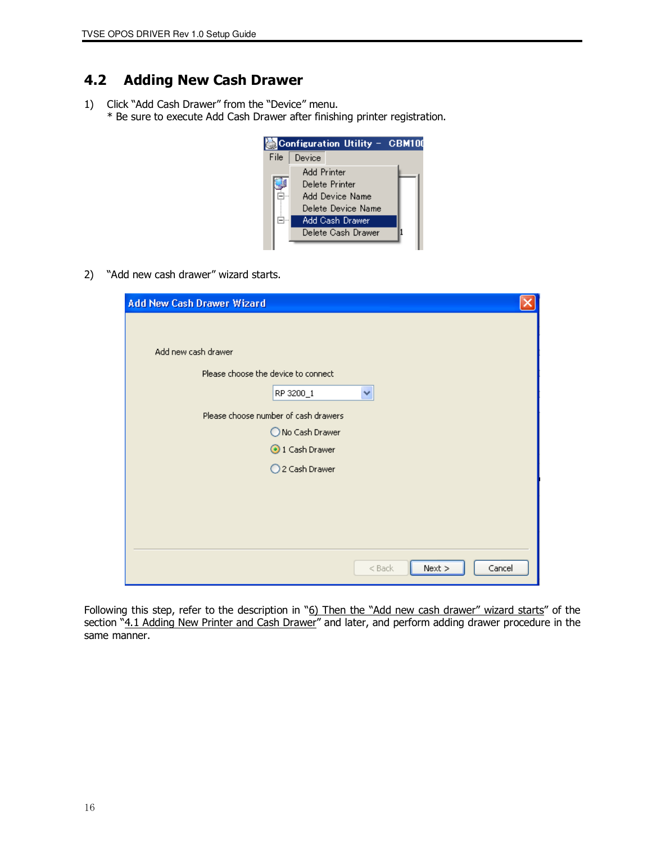## 4.2 Adding New Cash Drawer

1) Click "Add Cash Drawer" from the "Device" menu. \* Be sure to execute Add Cash Drawer after finishing printer registration.



2) "Add new cash drawer" wizard starts.

| <b>Add New Cash Drawer Wizard</b>   |                                      |          |        |        |
|-------------------------------------|--------------------------------------|----------|--------|--------|
|                                     |                                      |          |        |        |
| Add new cash drawer                 |                                      |          |        |        |
| Please choose the device to connect |                                      |          |        |        |
|                                     | RP 3200_1                            | v        |        |        |
|                                     | Please choose number of cash drawers |          |        |        |
|                                     | ◯ No Cash Drawer                     |          |        |        |
|                                     | 1 Cash Drawer                        |          |        |        |
|                                     | ○2 Cash Drawer                       |          |        |        |
|                                     |                                      |          |        |        |
|                                     |                                      |          |        |        |
|                                     |                                      |          |        |        |
|                                     |                                      |          |        |        |
|                                     |                                      | $<$ Back | Next > | Cancel |

Following this step, refer to the description in "6) Then the "Add new cash drawer" wizard starts" of the section "4.1 Adding New Printer and Cash Drawer" and later, and perform adding drawer procedure in the same manner.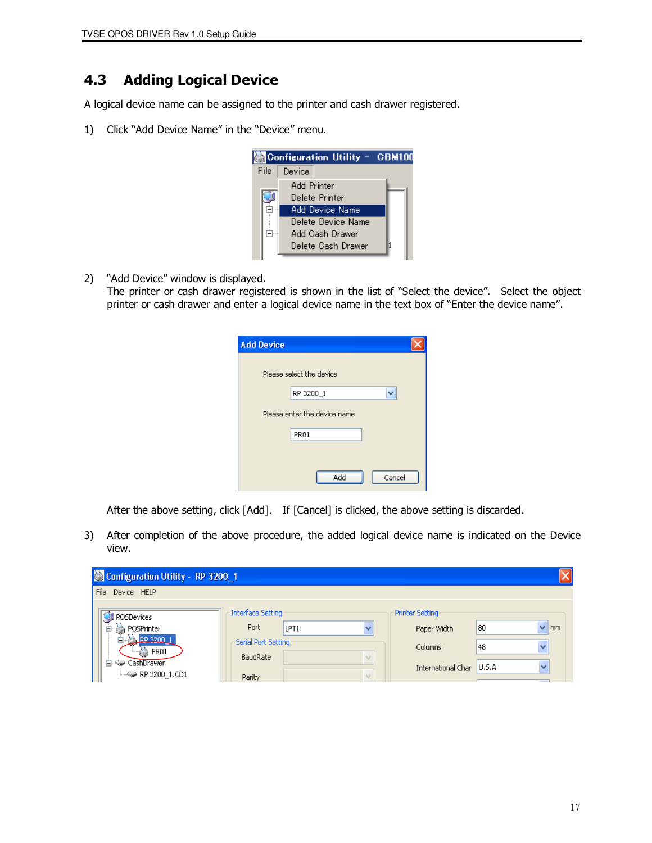## 4.3 Adding Logical Device

A logical device name can be assigned to the printer and cash drawer registered.

1) Click "Add Device Name" in the "Device" menu.



2) "Add Device" window is displayed.

 The printer or cash drawer registered is shown in the list of "Select the device". Select the object printer or cash drawer and enter a logical device name in the text box of "Enter the device name".

| <b>Add Device</b> |                              |        |
|-------------------|------------------------------|--------|
|                   | Please select the device     |        |
|                   | RP 3200_1                    |        |
|                   | Please enter the device name |        |
|                   | PR <sub>01</sub>             |        |
|                   |                              |        |
|                   |                              |        |
|                   | Add                          | Cancel |

After the above setting, click [Add]. If [Cancel] is clicked, the above setting is discarded.

3) After completion of the above procedure, the added logical device name is indicated on the Device view.

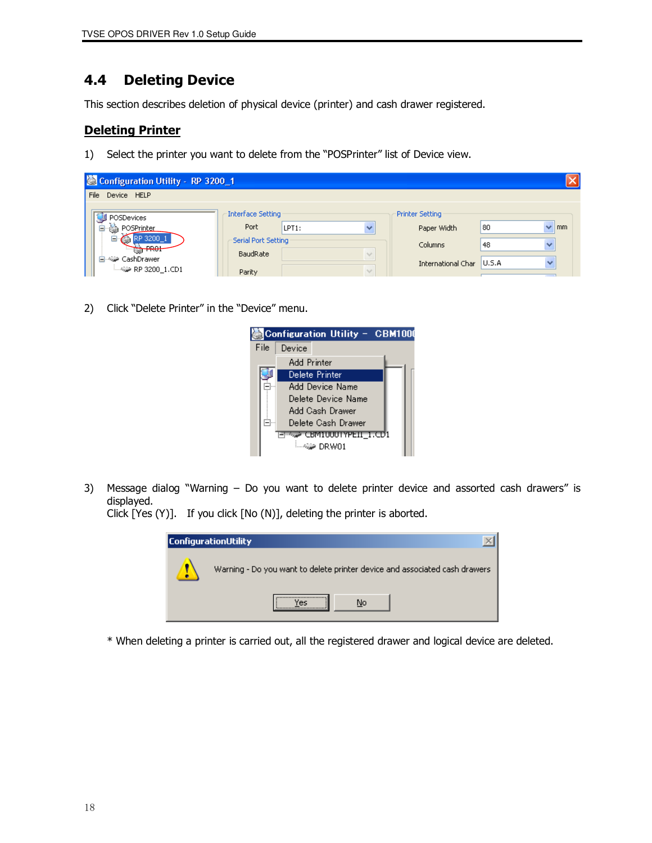## 4.4 Deleting Device

This section describes deletion of physical device (printer) and cash drawer registered.

## Deleting Printer

1) Select the printer you want to delete from the "POSPrinter" list of Device view.

| Configuration Utility - RP 3200_1 |                                 |       |  |                    |                       |
|-----------------------------------|---------------------------------|-------|--|--------------------|-----------------------|
| Device HELP<br>File               |                                 |       |  |                    |                       |
| POSDevices                        | <b>Interface Setting</b>        |       |  | Printer Setting    |                       |
| POSPrinter                        | Port                            | LPT1: |  | Paper Width        | 80<br>$\mathsf{mm}$   |
| R <sub>01</sub>                   | Serial Port Setting<br>BaudRate |       |  | Columns            | 48<br>$\checkmark$    |
| CashDrawer (                      | Parity                          |       |  | International Char | U.S.A<br>$\checkmark$ |

2) Click "Delete Printer" in the "Device" menu.



3) Message dialog "Warning – Do you want to delete printer device and assorted cash drawers" is displayed.

Click [Yes (Y)]. If you click [No (N)], deleting the printer is aborted.

| ConfigurationUtility                                                       |
|----------------------------------------------------------------------------|
| Warning - Do you want to delete printer device and associated cash drawers |
| <br>No<br>ΈS                                                               |

\* When deleting a printer is carried out, all the registered drawer and logical device are deleted.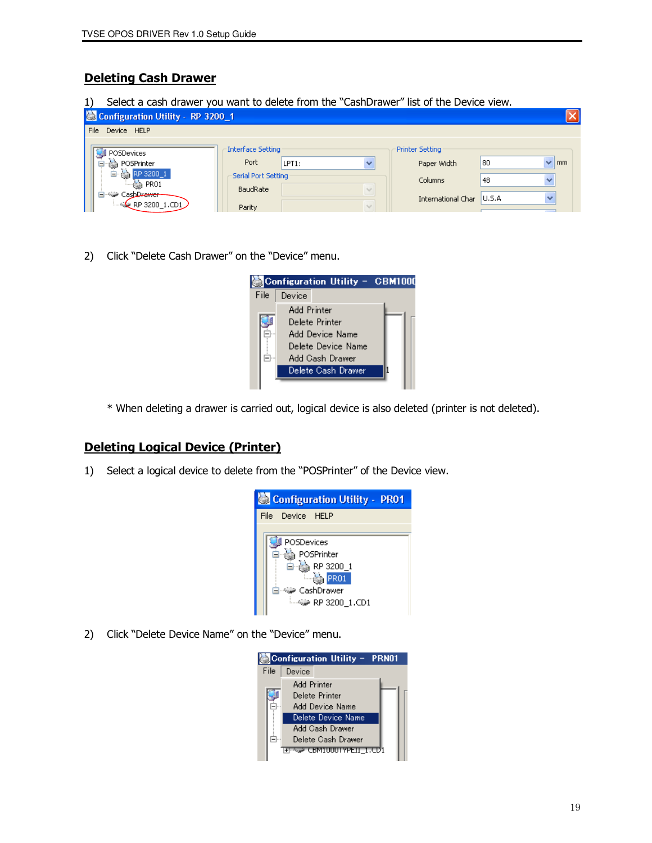## Deleting Cash Drawer

1) Select a cash drawer you want to delete from the "CashDrawer" list of the Device view.

| Configuration Utility - RP 3200_1                                 |                                        |       |                         |                    |                                |
|-------------------------------------------------------------------|----------------------------------------|-------|-------------------------|--------------------|--------------------------------|
| File<br>Device HELP                                               |                                        |       |                         |                    |                                |
| POSDevices                                                        | <b>Interface Setting</b>               |       |                         | Printer Setting    |                                |
| POSPrinter<br>Gab                                                 | Port                                   | LPT1: |                         | Paper Width        | 80<br>m <sub>m</sub><br>v      |
| PR <sub>01</sub>                                                  | Serial Port Setting<br><b>BaudRate</b> |       | $\gamma_{\alpha,\beta}$ | Columns            | 48<br>$\overline{\phantom{a}}$ |
| <sup>,</sup> CashD <del>rawer</del><br>$\leftarrow$ RP 3200_1.CD1 | Parity                                 |       | $\sim$                  | International Char | <b>U.S.A</b>                   |

2) Click "Delete Cash Drawer" on the "Device" menu.

|      |             | Configuration Utility - CBM1000 |  |  |  |
|------|-------------|---------------------------------|--|--|--|
| File | Device      |                                 |  |  |  |
|      | Add Printer |                                 |  |  |  |
|      |             | Delete Printer                  |  |  |  |
|      |             | Add Device Name                 |  |  |  |
|      |             | Delete Device Name              |  |  |  |
|      |             | Add Cash Drawer                 |  |  |  |
|      |             | Delete Cash Drawer              |  |  |  |
|      |             |                                 |  |  |  |

\* When deleting a drawer is carried out, logical device is also deleted (printer is not deleted).

### Deleting Logical Device (Printer)

1) Select a logical device to delete from the "POSPrinter" of the Device view.



2) Click "Delete Device Name" on the "Device" menu.

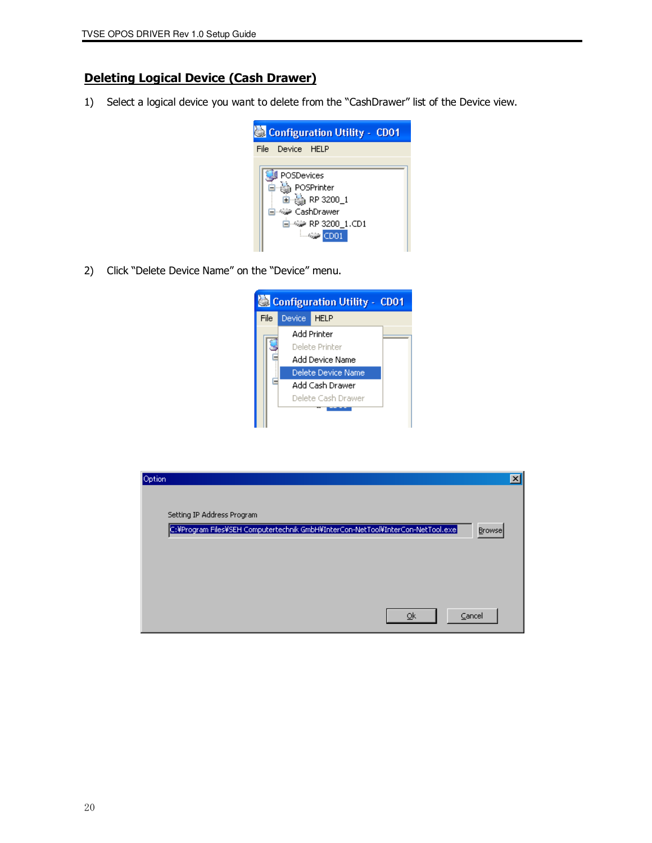## Deleting Logical Device (Cash Drawer)

1) Select a logical device you want to delete from the "CashDrawer" list of the Device view.



2) Click "Delete Device Name" on the "Device" menu.



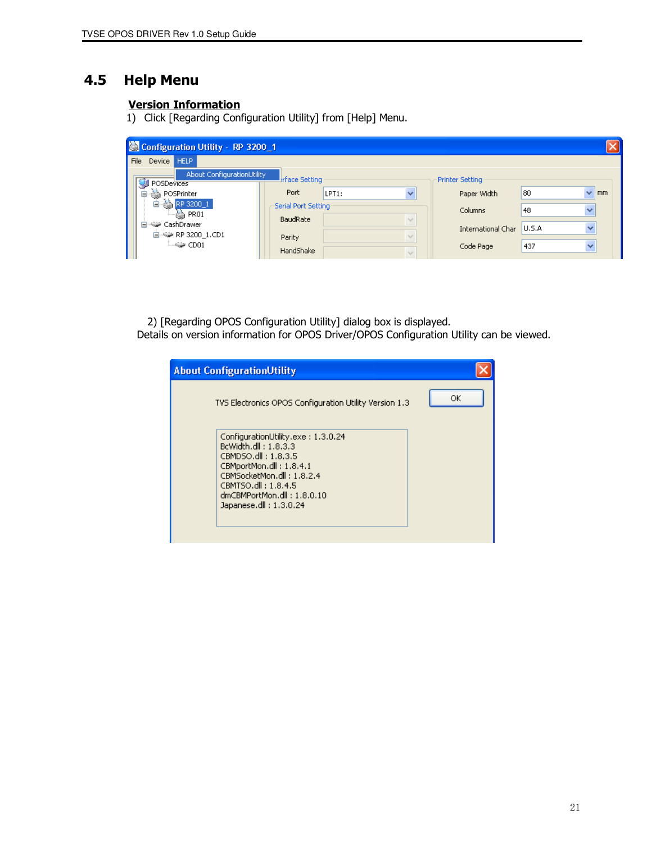## 4.5 Help Menu

### Version Information

1) Click [Regarding Configuration Utility] from [Help] Menu.

|                                      | Configuration Utility - RP 3200_1               |                                 |       |                          |                        |        |              |
|--------------------------------------|-------------------------------------------------|---------------------------------|-------|--------------------------|------------------------|--------|--------------|
| File                                 | Device HELP                                     |                                 |       |                          |                        |        |              |
|                                      | <b>About ConfigurationUtility</b><br>POSDevices | <b>I</b> rface Setting          |       |                          | <b>Printer Setting</b> |        |              |
|                                      | POSPrinter<br>Ė<br>●                            | Port                            | LPT1: | $\overline{\phantom{a}}$ | Paper Width            | 80     | mm<br>▿      |
| ė<br>RP 3200_1<br>$\rightarrow$ PR01 |                                                 | Serial Port Setting<br>BaudRate |       | $\sim$                   | Columns                | 48     | v            |
|                                      | 白~編> CashDrawer<br>自-4→ RP 3200_1.CD1           | Parity                          |       | $\sim$                   | International Char     | lu.s.a | $\checkmark$ |
|                                      | <b>Endown</b> CD01                              | HandShake                       |       |                          | Code Page              | 437    | $\checkmark$ |

 2) [Regarding OPOS Configuration Utility] dialog box is displayed. Details on version information for OPOS Driver/OPOS Configuration Utility can be viewed.

| <b>About ConfigurationUtility</b>                                                                                                                                                                                        |    |
|--------------------------------------------------------------------------------------------------------------------------------------------------------------------------------------------------------------------------|----|
| TVS Electronics OPOS Configuration Utility Version 1.3                                                                                                                                                                   | ОК |
| ConfigurationUtility.exe: 1.3.0.24<br>BcWidth.dll: 1.8.3.3<br>CBMDSO.dll: 1.8.3.5<br>CBMportMon.dll: 1.8.4.1<br>CBMSocketMon.dll: 1.8.2.4<br>CBMTSO.dll: 1.8.4.5<br>dmCBMPortMon.dll: 1.8.0.10<br>Japanese.dll: 1.3.0.24 |    |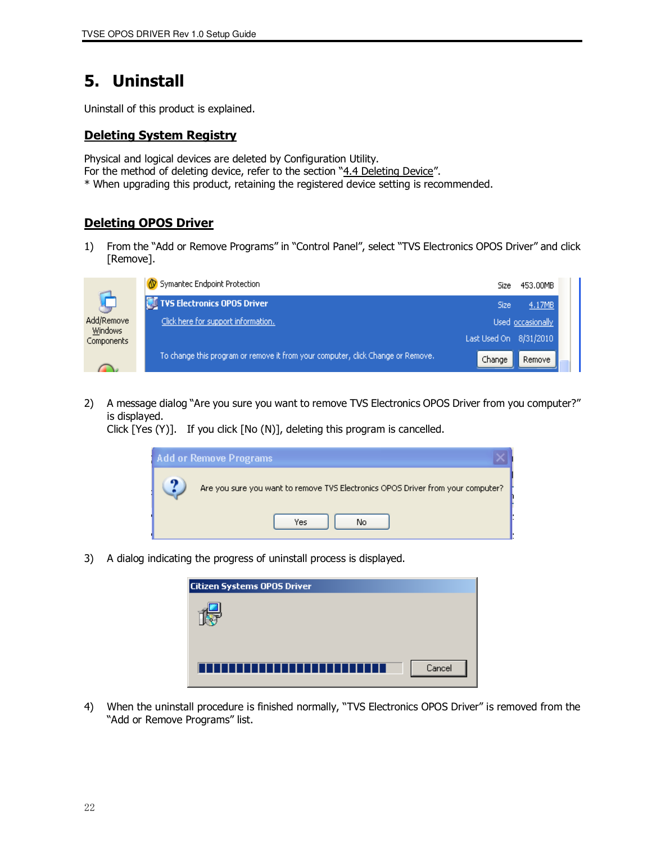## 5. Uninstall

Uninstall of this product is explained.

#### Deleting System Registry

Physical and logical devices are deleted by Configuration Utility.

- For the method of deleting device, refer to the section "4.4 Deleting Device".
- \* When upgrading this product, retaining the registered device setting is recommended.

## Deleting OPOS Driver

1) From the "Add or Remove Programs" in "Control Panel", select "TVS Electronics OPOS Driver" and click [Remove].



2) A message dialog "Are you sure you want to remove TVS Electronics OPOS Driver from you computer?" is displayed.

Click [Yes (Y)]. If you click [No (N)], deleting this program is cancelled.



3) A dialog indicating the progress of uninstall process is displayed.

| <b>Citizen Systems OPOS Driver</b>    |
|---------------------------------------|
|                                       |
|                                       |
|                                       |
| --------------------<br>Cancel<br>I I |
|                                       |

4) When the uninstall procedure is finished normally, "TVS Electronics OPOS Driver" is removed from the "Add or Remove Programs" list.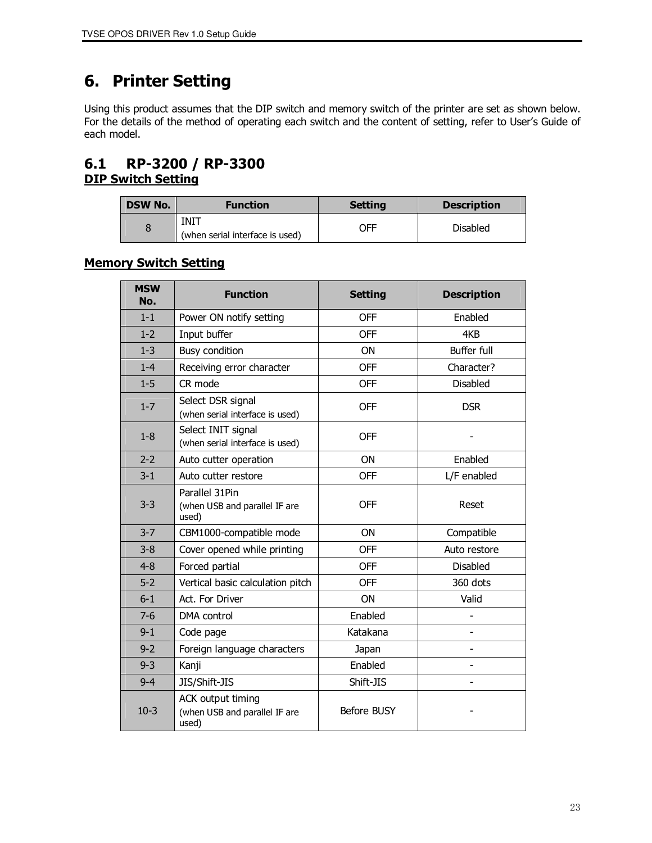## 6. Printer Setting

Using this product assumes that the DIP switch and memory switch of the printer are set as shown below. For the details of the method of operating each switch and the content of setting, refer to User's Guide of each model.

## 6.1 RP-3200 / RP-3300 **DIP Switch Setting**

| <b>DSW No.</b> | <b>Function</b>                         | <b>Setting</b> | <b>Description</b> |
|----------------|-----------------------------------------|----------------|--------------------|
|                | INIT<br>(when serial interface is used) | OFF            | <b>Disabled</b>    |

## Memory Switch Setting

| <b>MSW</b><br>No. | <b>Function</b>                                             | <b>Setting</b>     | <b>Description</b> |
|-------------------|-------------------------------------------------------------|--------------------|--------------------|
| $1 - 1$           | Power ON notify setting                                     | <b>OFF</b>         | Enabled            |
| $1 - 2$           | Input buffer                                                | <b>OFF</b>         | 4KB                |
| $1 - 3$           | <b>Busy condition</b>                                       | ON                 | <b>Buffer full</b> |
| $1 - 4$           | Receiving error character                                   | <b>OFF</b>         | Character?         |
| $1 - 5$           | CR mode                                                     | <b>OFF</b>         | Disabled           |
| $1 - 7$           | Select DSR signal<br>(when serial interface is used)        | <b>OFF</b>         | <b>DSR</b>         |
| $1 - 8$           | Select INIT signal<br>(when serial interface is used)       | <b>OFF</b>         |                    |
| $2 - 2$           | Auto cutter operation                                       | ON                 | Enabled            |
| $3 - 1$           | Auto cutter restore                                         | <b>OFF</b>         | L/F enabled        |
| $3 - 3$           | Parallel 31Pin<br>(when USB and parallel IF are<br>used)    | <b>OFF</b>         | Reset              |
| $3 - 7$           | CBM1000-compatible mode                                     | <b>ON</b>          | Compatible         |
| $3 - 8$           | Cover opened while printing                                 | <b>OFF</b>         | Auto restore       |
| $4 - 8$           | Forced partial                                              | <b>OFF</b>         | <b>Disabled</b>    |
| $5 - 2$           | Vertical basic calculation pitch                            | <b>OFF</b>         | 360 dots           |
| $6-1$             | Act. For Driver                                             | <b>ON</b>          | Valid              |
| $7-6$             | DMA control                                                 | Enabled            |                    |
| $9 - 1$           | Code page                                                   | Katakana           | $\overline{a}$     |
| $9 - 2$           | Foreign language characters                                 | Japan              |                    |
| $9 - 3$           | Kanji                                                       | Enabled            |                    |
| $9 - 4$           | JIS/Shift-JIS                                               | Shift-JIS          |                    |
| $10-3$            | ACK output timing<br>(when USB and parallel IF are<br>used) | <b>Before BUSY</b> |                    |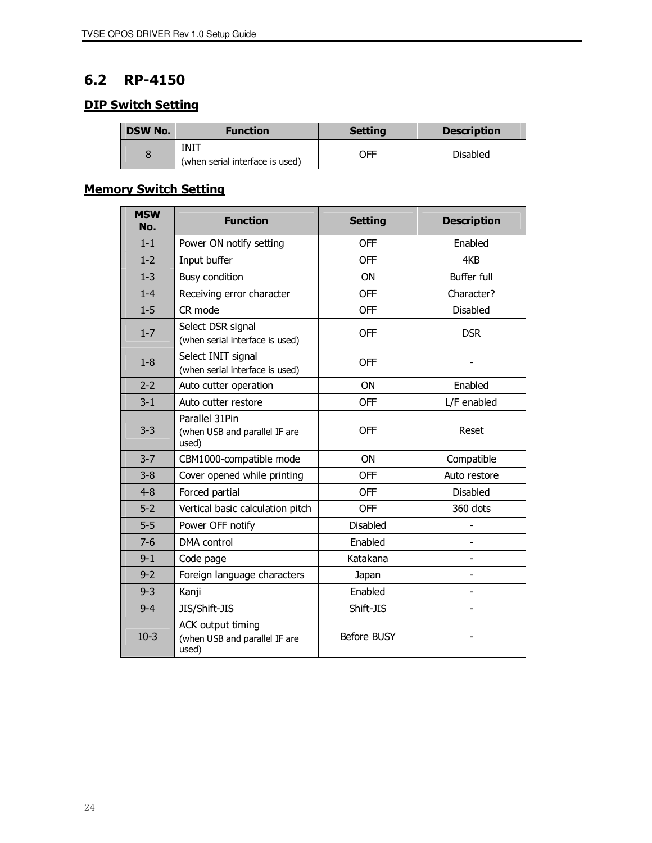## 6.2 RP-4150

## **DIP Switch Setting**

| <b>DSW No.</b> | <b>Function</b>                         | <b>Setting</b> | <b>Description</b> |
|----------------|-----------------------------------------|----------------|--------------------|
|                | INIT<br>(when serial interface is used) | OFF            | <b>Disabled</b>    |

## Memory Switch Setting

| <b>MSW</b><br>No. | <b>Function</b>                                                    | <b>Setting</b>  | <b>Description</b> |
|-------------------|--------------------------------------------------------------------|-----------------|--------------------|
| $1 - 1$           | Power ON notify setting                                            | <b>OFF</b>      | Enabled            |
| $1 - 2$           | Input buffer                                                       | <b>OFF</b>      | 4KB                |
| $1 - 3$           | <b>Busy condition</b>                                              | ON              | <b>Buffer full</b> |
| $1 - 4$           | Receiving error character                                          | <b>OFF</b>      | Character?         |
| $1 - 5$           | CR mode                                                            | <b>OFF</b>      | <b>Disabled</b>    |
| $1 - 7$           | Select DSR signal<br>(when serial interface is used)               | <b>OFF</b>      | <b>DSR</b>         |
| $1 - 8$           | Select INIT signal<br>(when serial interface is used)              | <b>OFF</b>      |                    |
| $2 - 2$           | Auto cutter operation                                              | ON              | Enabled            |
| $3 - 1$           | Auto cutter restore                                                | OFF             | L/F enabled        |
| $3 - 3$           | Parallel 31Pin<br>(when USB and parallel IF are<br>used)           | <b>OFF</b>      | Reset              |
| $3 - 7$           | CBM1000-compatible mode                                            | ON              | Compatible         |
| $3 - 8$           | Cover opened while printing                                        | <b>OFF</b>      | Auto restore       |
| $4 - 8$           | Forced partial                                                     | <b>OFF</b>      | <b>Disabled</b>    |
| $5 - 2$           | Vertical basic calculation pitch                                   | <b>OFF</b>      | 360 dots           |
| $5-5$             | Power OFF notify                                                   | <b>Disabled</b> |                    |
| $7-6$             | <b>DMA</b> control                                                 | Enabled         |                    |
| $9 - 1$           | Code page                                                          | Katakana        |                    |
| $9 - 2$           | Foreign language characters                                        | Japan           |                    |
| $9 - 3$           | Kanji                                                              | Enabled         |                    |
| $9 - 4$           | JIS/Shift-JIS                                                      | Shift-JIS       |                    |
| $10-3$            | <b>ACK output timing</b><br>(when USB and parallel IF are<br>used) | Before BUSY     |                    |